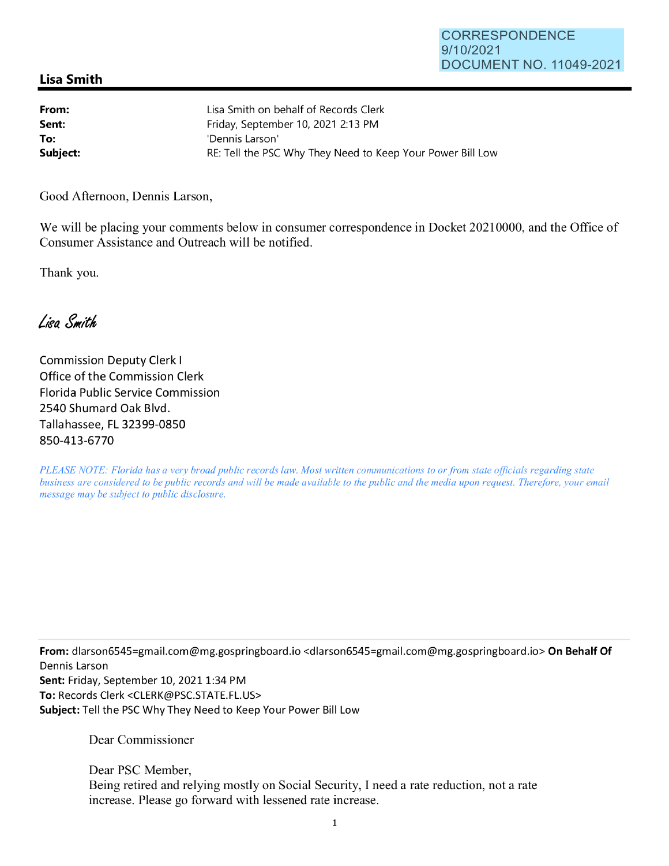## **Lisa Smith**

| From:    | Lisa Smith on behalf of Records Clerk                      |
|----------|------------------------------------------------------------|
| Sent:    | Friday, September 10, 2021 2:13 PM                         |
| To:      | 'Dennis Larson'                                            |
| Subject: | RE: Tell the PSC Why They Need to Keep Your Power Bill Low |

Good Afternoon, Dennis Larson,

We will be placing your comments below in consumer correspondence in Docket 20210000, and the Office of Consumer Assistance and Outreach will be notified.

Thank you.

Lisa Smith

Commission Deputy Clerk I Office of the Commission Clerk Florida Public Service Commission 2540 Shumard Oak Blvd. Tallahassee, FL 32399-0850 850-413-6770

*PLEASE NOTE: Florida has a very broad public records law. Most written communications to or from state officials regarding state business are considered to be public records and will be made available to the public and the media upon request. Therefore, your email message may be subject to public disclosure.* 

**From:** dlarson6545=gmail.com@mg.gospringboard.io <d1arson6545=gmai1.com@mg.gospringboard.io> **On Behalf Of**  Dennis Larson **Sent: Friday, September 10, 2021 1:34 PM To:** Records Clerk <CLERK@PSC.STATE.FL.US> **Subject:** Tell the PSC Why They Need to Keep Your Power Bill Low

Dear Commissioner

Dear PSC Member, Being retired and relying mostly on Social Security, I need a rate reduction, not a rate increase. Please go forward with lessened rate increase.